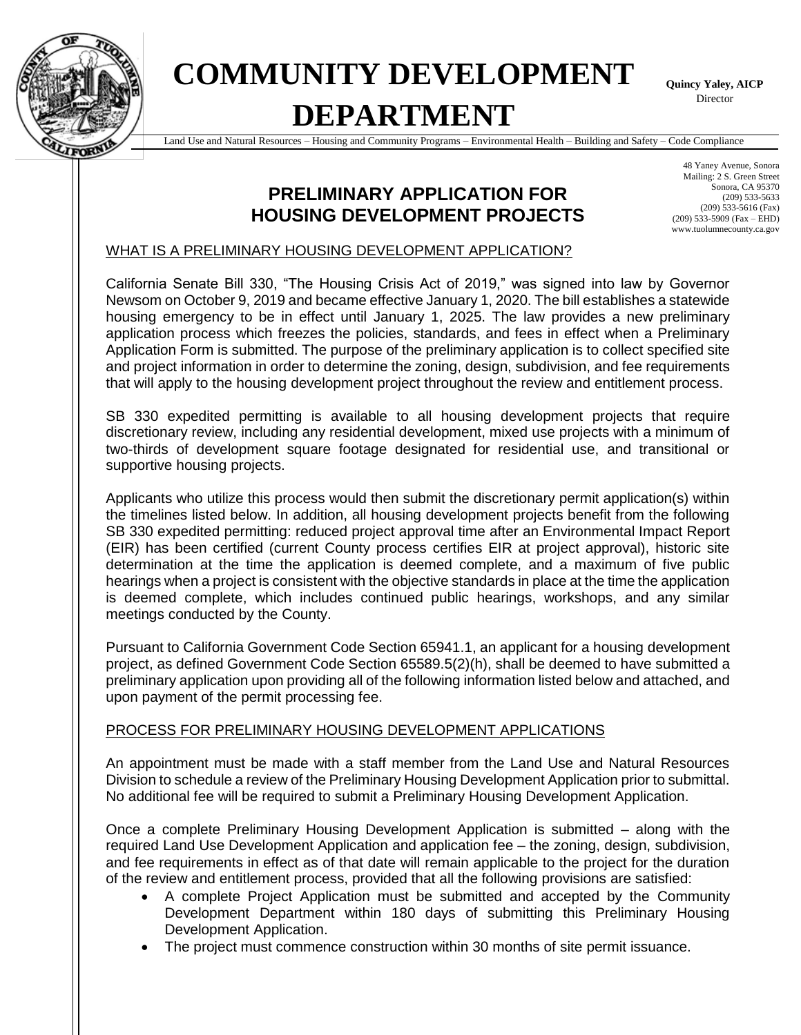

# **COMMUNITY DEVELOPMENT DEPARTMENT**

**Quincy Yaley, AICP** Director

Land Use and Natural Resources – Housing and Community Programs – Environmental Health – Building and Safety – Code Compliance

## **PRELIMINARY APPLICATION FOR HOUSING DEVELOPMENT PROJECTS**

48 Yaney Avenue, Sonora Mailing: 2 S. Green Street Sonora, CA 95370 (209) 533-5633 (209) 533-5616 (Fax) (209) 533-5909 (Fax – EHD) www.tuolumnecounty.ca.gov

#### WHAT IS A PRELIMINARY HOUSING DEVELOPMENT APPLICATION?

California Senate Bill 330, "The Housing Crisis Act of 2019," was signed into law by Governor Newsom on October 9, 2019 and became effective January 1, 2020. The bill establishes a statewide housing emergency to be in effect until January 1, 2025. The law provides a new preliminary application process which freezes the policies, standards, and fees in effect when a Preliminary Application Form is submitted. The purpose of the preliminary application is to collect specified site and project information in order to determine the zoning, design, subdivision, and fee requirements that will apply to the housing development project throughout the review and entitlement process.

SB 330 expedited permitting is available to all housing development projects that require discretionary review, including any residential development, mixed use projects with a minimum of two-thirds of development square footage designated for residential use, and transitional or supportive housing projects.

Applicants who utilize this process would then submit the discretionary permit application(s) within the timelines listed below. In addition, all housing development projects benefit from the following SB 330 expedited permitting: reduced project approval time after an Environmental Impact Report (EIR) has been certified (current County process certifies EIR at project approval), historic site determination at the time the application is deemed complete, and a maximum of five public hearings when a project is consistent with the objective standards in place at the time the application is deemed complete, which includes continued public hearings, workshops, and any similar meetings conducted by the County.

Pursuant to California Government Code Section 65941.1, an applicant for a housing development project, as defined Government Code Section 65589.5(2)(h), shall be deemed to have submitted a preliminary application upon providing all of the following information listed below and attached, and upon payment of the permit processing fee.

#### PROCESS FOR PRELIMINARY HOUSING DEVELOPMENT APPLICATIONS

An appointment must be made with a staff member from the Land Use and Natural Resources Division to schedule a review of the Preliminary Housing Development Application prior to submittal. No additional fee will be required to submit a Preliminary Housing Development Application.

Once a complete Preliminary Housing Development Application is submitted – along with the required Land Use Development Application and application fee – the zoning, design, subdivision, and fee requirements in effect as of that date will remain applicable to the project for the duration of the review and entitlement process, provided that all the following provisions are satisfied:

- A complete Project Application must be submitted and accepted by the Community Development Department within 180 days of submitting this Preliminary Housing Development Application.
- The project must commence construction within 30 months of site permit issuance.